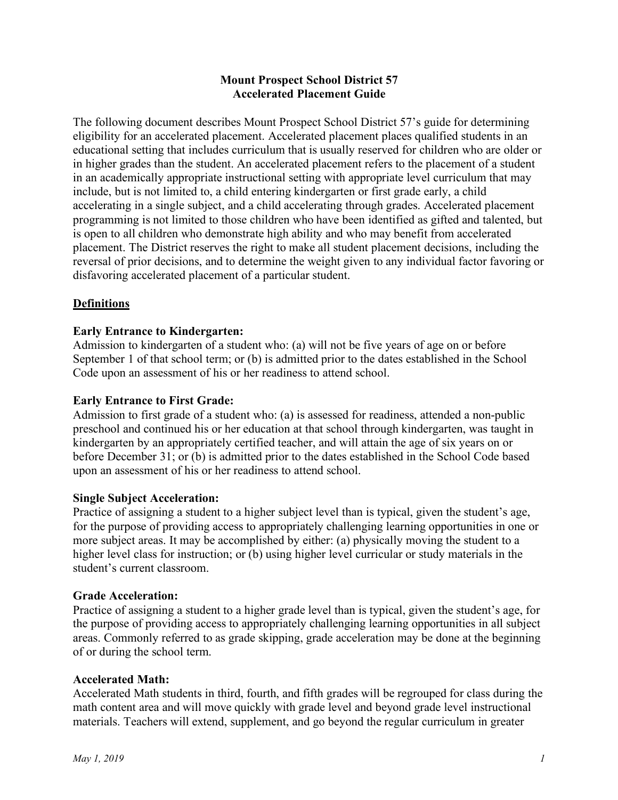## **Mount Prospect School District 57 Accelerated Placement Guide**

The following document describes Mount Prospect School District 57's guide for determining eligibility for an accelerated placement. Accelerated placement places qualified students in an educational setting that includes curriculum that is usually reserved for children who are older or in higher grades than the student. An accelerated placement refers to the placement of a student in an academically appropriate instructional setting with appropriate level curriculum that may include, but is not limited to, a child entering kindergarten or first grade early, a child accelerating in a single subject, and a child accelerating through grades. Accelerated placement programming is not limited to those children who have been identified as gifted and talented, but is open to all children who demonstrate high ability and who may benefit from accelerated placement. The District reserves the right to make all student placement decisions, including the reversal of prior decisions, and to determine the weight given to any individual factor favoring or disfavoring accelerated placement of a particular student.

# **Definitions**

# **Early Entrance to Kindergarten:**

Admission to kindergarten of a student who: (a) will not be five years of age on or before September 1 of that school term; or (b) is admitted prior to the dates established in the School Code upon an assessment of his or her readiness to attend school.

#### **Early Entrance to First Grade:**

Admission to first grade of a student who: (a) is assessed for readiness, attended a non-public preschool and continued his or her education at that school through kindergarten, was taught in kindergarten by an appropriately certified teacher, and will attain the age of six years on or before December 31; or (b) is admitted prior to the dates established in the School Code based upon an assessment of his or her readiness to attend school.

#### **Single Subject Acceleration:**

Practice of assigning a student to a higher subject level than is typical, given the student's age, for the purpose of providing access to appropriately challenging learning opportunities in one or more subject areas. It may be accomplished by either: (a) physically moving the student to a higher level class for instruction; or (b) using higher level curricular or study materials in the student's current classroom.

#### **Grade Acceleration:**

Practice of assigning a student to a higher grade level than is typical, given the student's age, for the purpose of providing access to appropriately challenging learning opportunities in all subject areas. Commonly referred to as grade skipping, grade acceleration may be done at the beginning of or during the school term.

#### **Accelerated Math:**

Accelerated Math students in third, fourth, and fifth grades will be regrouped for class during the math content area and will move quickly with grade level and beyond grade level instructional materials. Teachers will extend, supplement, and go beyond the regular curriculum in greater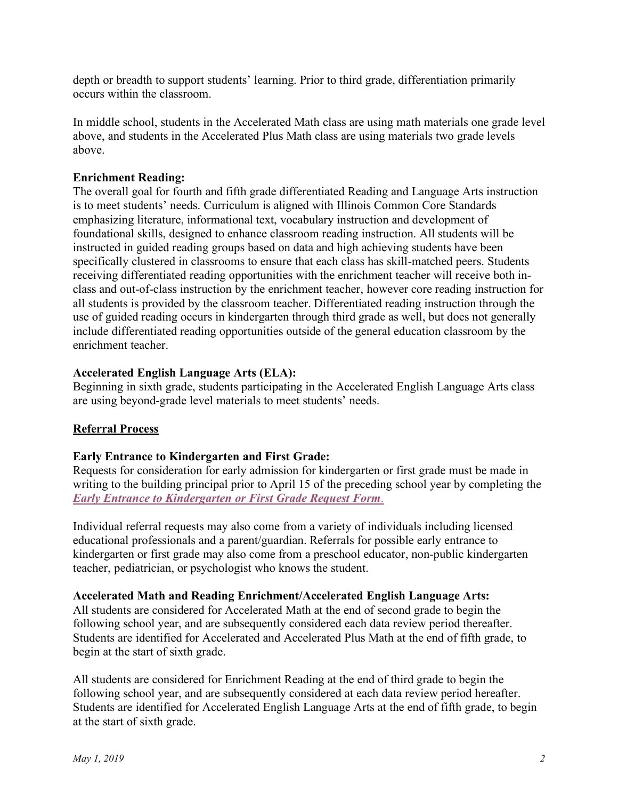depth or breadth to support students' learning. Prior to third grade, differentiation primarily occurs within the classroom.

In middle school, students in the Accelerated Math class are using math materials one grade level above, and students in the Accelerated Plus Math class are using materials two grade levels above.

## **Enrichment Reading:**

The overall goal for fourth and fifth grade differentiated Reading and Language Arts instruction is to meet students' needs. Curriculum is aligned with Illinois Common Core Standards emphasizing literature, informational text, vocabulary instruction and development of foundational skills, designed to enhance classroom reading instruction. All students will be instructed in guided reading groups based on data and high achieving students have been specifically clustered in classrooms to ensure that each class has skill-matched peers. Students receiving differentiated reading opportunities with the enrichment teacher will receive both inclass and out-of-class instruction by the enrichment teacher, however core reading instruction for all students is provided by the classroom teacher. Differentiated reading instruction through the use of guided reading occurs in kindergarten through third grade as well, but does not generally include differentiated reading opportunities outside of the general education classroom by the enrichment teacher.

#### **Accelerated English Language Arts (ELA):**

Beginning in sixth grade, students participating in the Accelerated English Language Arts class are using beyond-grade level materials to meet students' needs.

# **Referral Process**

#### **Early Entrance to Kindergarten and First Grade:**

Requests for consideration for early admission for kindergarten or first grade must be made in writing to the building principal prior to April 15 of the preceding school year by completing the *[Early Entrance to Kindergarten or First Grade Request Form](https://www.d57.org/Downloads/Early%20Entrance%20to%20Kindergarten%20or%20First%20Grade%20Request%20Form9.pdf)*.

Individual referral requests may also come from a variety of individuals including licensed educational professionals and a parent/guardian. Referrals for possible early entrance to kindergarten or first grade may also come from a preschool educator, non-public kindergarten teacher, pediatrician, or psychologist who knows the student.

#### **Accelerated Math and Reading Enrichment/Accelerated English Language Arts:**

All students are considered for Accelerated Math at the end of second grade to begin the following school year, and are subsequently considered each data review period thereafter. Students are identified for Accelerated and Accelerated Plus Math at the end of fifth grade, to begin at the start of sixth grade.

All students are considered for Enrichment Reading at the end of third grade to begin the following school year, and are subsequently considered at each data review period hereafter. Students are identified for Accelerated English Language Arts at the end of fifth grade, to begin at the start of sixth grade.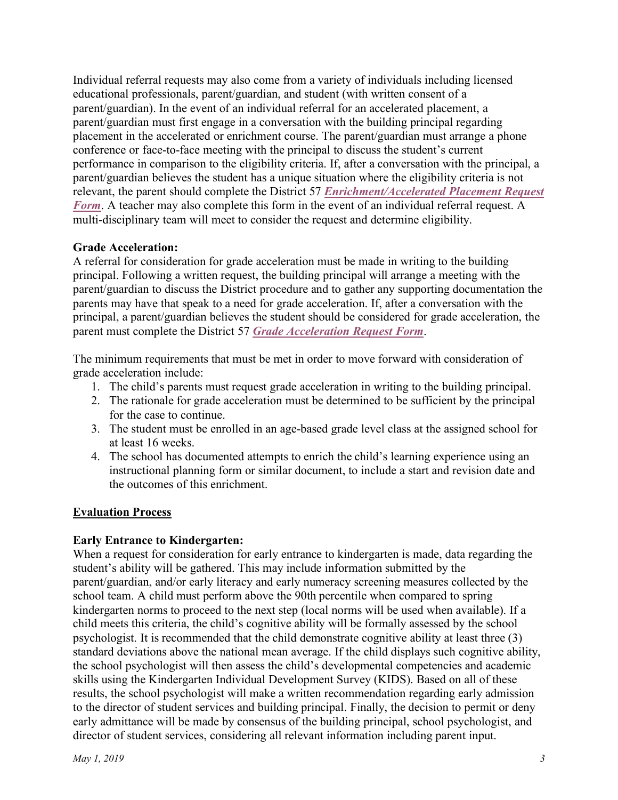Individual referral requests may also come from a variety of individuals including licensed educational professionals, parent/guardian, and student (with written consent of a parent/guardian). In the event of an individual referral for an accelerated placement, a parent/guardian must first engage in a conversation with the building principal regarding placement in the accelerated or enrichment course. The parent/guardian must arrange a phone conference or face-to-face meeting with the principal to discuss the student's current performance in comparison to the eligibility criteria. If, after a conversation with the principal, a parent/guardian believes the student has a unique situation where the eligibility criteria is not relevant, the parent should complete the District 57 *[Enrichment/Accelerated Placement Request](https://www.d57.org/Downloads/Enrichment%20Accelerated%20Placement%20Request%20Form3.pdf)  Form*. A teacher may also complete this form in the event of an individual referral request. A multi-disciplinary team will meet to consider the request and determine eligibility.

# **Grade Acceleration:**

A referral for consideration for grade acceleration must be made in writing to the building principal. Following a written request, the building principal will arrange a meeting with the parent/guardian to discuss the District procedure and to gather any supporting documentation the parents may have that speak to a need for grade acceleration. If, after a conversation with the principal, a parent/guardian believes the student should be considered for grade acceleration, the parent must complete the District 57 *[Grade Acceleration Request Form](https://www.d57.org/Downloads/Grade%20Acceleration%20Request%20Form3.pdf)*.

The minimum requirements that must be met in order to move forward with consideration of grade acceleration include:

- 1. The child's parents must request grade acceleration in writing to the building principal.
- 2. The rationale for grade acceleration must be determined to be sufficient by the principal for the case to continue.
- 3. The student must be enrolled in an age-based grade level class at the assigned school for at least 16 weeks.
- 4. The school has documented attempts to enrich the child's learning experience using an instructional planning form or similar document, to include a start and revision date and the outcomes of this enrichment.

# **Evaluation Process**

# **Early Entrance to Kindergarten:**

When a request for consideration for early entrance to kindergarten is made, data regarding the student's ability will be gathered. This may include information submitted by the parent/guardian, and/or early literacy and early numeracy screening measures collected by the school team. A child must perform above the 90th percentile when compared to spring kindergarten norms to proceed to the next step (local norms will be used when available). If a child meets this criteria, the child's cognitive ability will be formally assessed by the school psychologist. It is recommended that the child demonstrate cognitive ability at least three (3) standard deviations above the national mean average. If the child displays such cognitive ability, the school psychologist will then assess the child's developmental competencies and academic skills using the Kindergarten Individual Development Survey (KIDS). Based on all of these results, the school psychologist will make a written recommendation regarding early admission to the director of student services and building principal. Finally, the decision to permit or deny early admittance will be made by consensus of the building principal, school psychologist, and director of student services, considering all relevant information including parent input.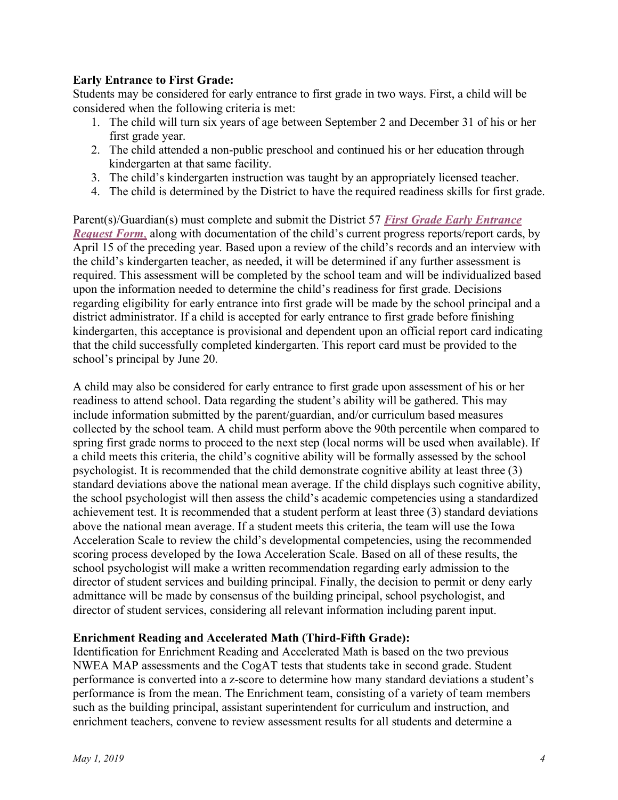# **Early Entrance to First Grade:**

Students may be considered for early entrance to first grade in two ways. First, a child will be considered when the following criteria is met:

- 1. The child will turn six years of age between September 2 and December 31 of his or her first grade year.
- 2. The child attended a non-public preschool and continued his or her education through kindergarten at that same facility.
- 3. The child's kindergarten instruction was taught by an appropriately licensed teacher.
- 4. The child is determined by the District to have the required readiness skills for first grade.

Parent(s)/Guardian(s) must complete and submit the District 57 *[First Grade Early Entrance](https://www.d57.org/Downloads/First%20Grade%20Early%20Entrance%20Request%20Form7.pdf)  Request Form*, along with documentation of the child's current progress reports/report cards, by April 15 of the preceding year. Based upon a review of the child's records and an interview with the child's kindergarten teacher, as needed, it will be determined if any further assessment is required. This assessment will be completed by the school team and will be individualized based upon the information needed to determine the child's readiness for first grade. Decisions regarding eligibility for early entrance into first grade will be made by the school principal and a district administrator. If a child is accepted for early entrance to first grade before finishing kindergarten, this acceptance is provisional and dependent upon an official report card indicating that the child successfully completed kindergarten. This report card must be provided to the school's principal by June 20.

A child may also be considered for early entrance to first grade upon assessment of his or her readiness to attend school. Data regarding the student's ability will be gathered. This may include information submitted by the parent/guardian, and/or curriculum based measures collected by the school team. A child must perform above the 90th percentile when compared to spring first grade norms to proceed to the next step (local norms will be used when available). If a child meets this criteria, the child's cognitive ability will be formally assessed by the school psychologist. It is recommended that the child demonstrate cognitive ability at least three (3) standard deviations above the national mean average. If the child displays such cognitive ability, the school psychologist will then assess the child's academic competencies using a standardized achievement test. It is recommended that a student perform at least three (3) standard deviations above the national mean average. If a student meets this criteria, the team will use the Iowa Acceleration Scale to review the child's developmental competencies, using the recommended scoring process developed by the Iowa Acceleration Scale. Based on all of these results, the school psychologist will make a written recommendation regarding early admission to the director of student services and building principal. Finally, the decision to permit or deny early admittance will be made by consensus of the building principal, school psychologist, and director of student services, considering all relevant information including parent input.

#### **Enrichment Reading and Accelerated Math (Third-Fifth Grade):**

Identification for Enrichment Reading and Accelerated Math is based on the two previous NWEA MAP assessments and the CogAT tests that students take in second grade. Student performance is converted into a z-score to determine how many standard deviations a student's performance is from the mean. The Enrichment team, consisting of a variety of team members such as the building principal, assistant superintendent for curriculum and instruction, and enrichment teachers, convene to review assessment results for all students and determine a